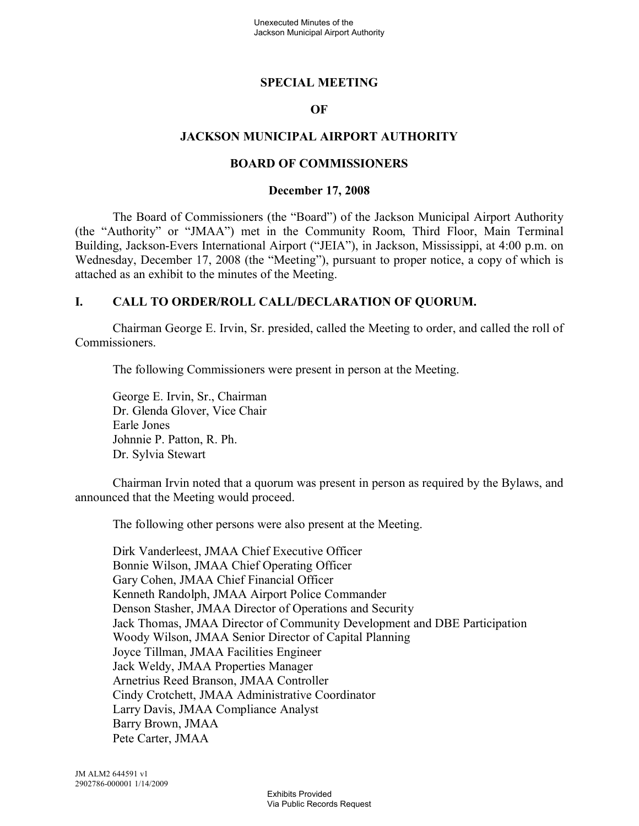#### **SPECIAL MEETING**

#### **OF**

#### **JACKSON MUNICIPAL AIRPORT AUTHORITY**

#### **BOARD OF COMMISSIONERS**

#### **December 17, 2008**

The Board of Commissioners (the "Board") of the Jackson Municipal Airport Authority (the "Authority" or "JMAA") met in the Community Room, Third Floor, Main Terminal Building, Jackson-Evers International Airport ("JEIA"), in Jackson, Mississippi, at 4:00 p.m. on Wednesday, December 17, 2008 (the "Meeting"), pursuant to proper notice, a copy of which is attached as an exhibit to the minutes of the Meeting.

#### **I. CALL TO ORDER/ROLL CALL/DECLARATION OF QUORUM.**

Chairman George E. Irvin, Sr. presided, called the Meeting to order, and called the roll of Commissioners.

The following Commissioners were present in person at the Meeting.

George E. Irvin, Sr., Chairman Dr. Glenda Glover, Vice Chair Earle Jones Johnnie P. Patton, R. Ph. Dr. Sylvia Stewart

Chairman Irvin noted that a quorum was present in person as required by the Bylaws, and announced that the Meeting would proceed.

The following other persons were also present at the Meeting.

Dirk Vanderleest, JMAA Chief Executive Officer Bonnie Wilson, JMAA Chief Operating Officer Gary Cohen, JMAA Chief Financial Officer Kenneth Randolph, JMAA Airport Police Commander Denson Stasher, JMAA Director of Operations and Security Jack Thomas, JMAA Director of Community Development and DBE Participation Woody Wilson, JMAA Senior Director of Capital Planning Joyce Tillman, JMAA Facilities Engineer Jack Weldy, JMAA Properties Manager Arnetrius Reed Branson, JMAA Controller Cindy Crotchett, JMAA Administrative Coordinator Larry Davis, JMAA Compliance Analyst Barry Brown, JMAA Pete Carter, JMAA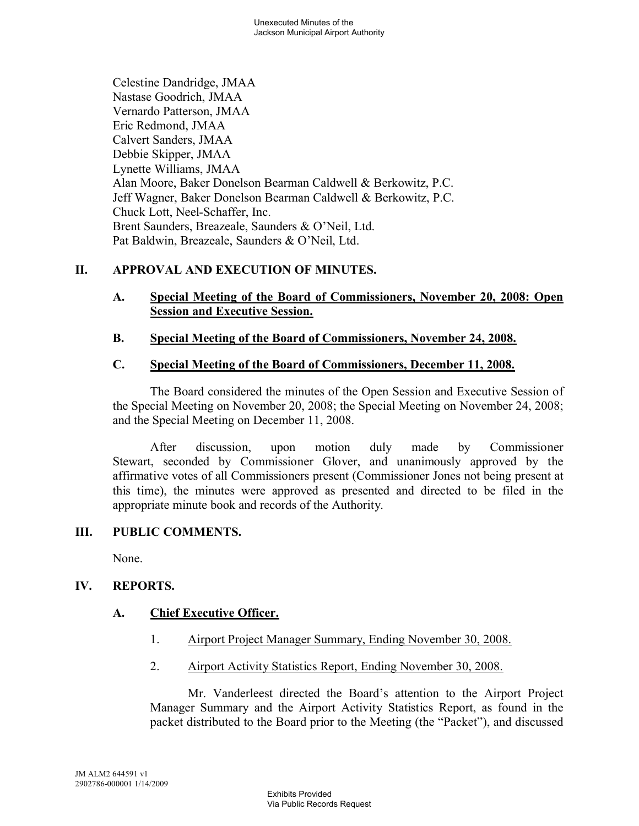Celestine Dandridge, JMAA Nastase Goodrich, JMAA Vernardo Patterson, JMAA Eric Redmond, JMAA Calvert Sanders, JMAA Debbie Skipper, JMAA Lynette Williams, JMAA Alan Moore, Baker Donelson Bearman Caldwell & Berkowitz, P.C. Jeff Wagner, Baker Donelson Bearman Caldwell & Berkowitz, P.C. Chuck Lott, Neel-Schaffer, Inc. Brent Saunders, Breazeale, Saunders & O'Neil, Ltd. Pat Baldwin, Breazeale, Saunders & O'Neil, Ltd.

# **II. APPROVAL AND EXECUTION OF MINUTES.**

#### **A. Special Meeting of the Board of Commissioners, November 20, 2008: Open Session and Executive Session.**

## **B. Special Meeting of the Board of Commissioners, November 24, 2008.**

## **C. Special Meeting of the Board of Commissioners, December 11, 2008.**

The Board considered the minutes of the Open Session and Executive Session of the Special Meeting on November 20, 2008; the Special Meeting on November 24, 2008; and the Special Meeting on December 11, 2008.

After discussion, upon motion duly made by Commissioner Stewart, seconded by Commissioner Glover, and unanimously approved by the affirmative votes of all Commissioners present (Commissioner Jones not being present at this time), the minutes were approved as presented and directed to be filed in the appropriate minute book and records of the Authority.

## **III. PUBLIC COMMENTS.**

None.

## **IV. REPORTS.**

## **A. Chief Executive Officer.**

- 1. Airport Project Manager Summary, Ending November 30, 2008.
- 2. Airport Activity Statistics Report, Ending November 30, 2008.

Mr. Vanderleest directed the Board's attention to the Airport Project Manager Summary and the Airport Activity Statistics Report, as found in the packet distributed to the Board prior to the Meeting (the "Packet"), and discussed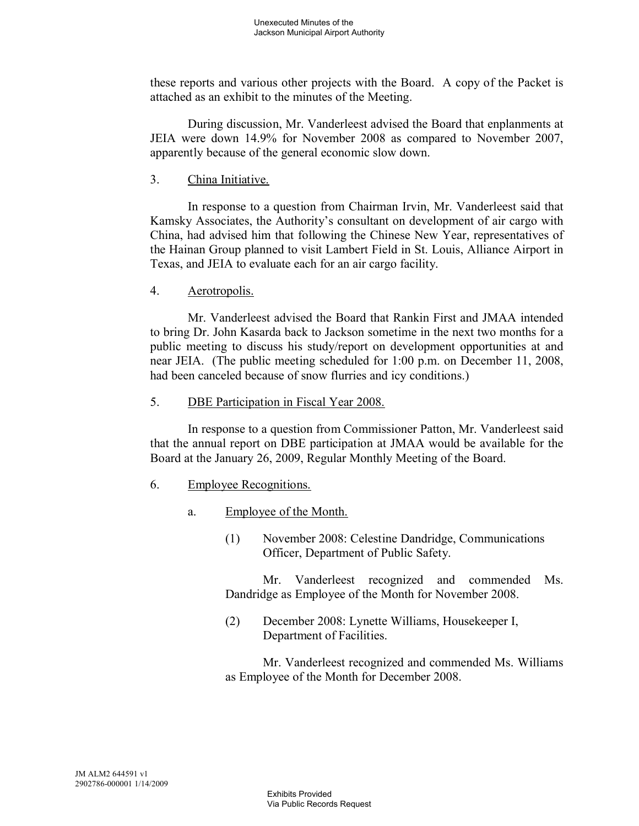these reports and various other projects with the Board. A copy of the Packet is attached as an exhibit to the minutes of the Meeting.

During discussion, Mr. Vanderleest advised the Board that enplanments at JEIA were down 14.9% for November 2008 as compared to November 2007, apparently because of the general economic slow down.

3. China Initiative.

In response to a question from Chairman Irvin, Mr. Vanderleest said that Kamsky Associates, the Authority's consultant on development of air cargo with China, had advised him that following the Chinese New Year, representatives of the Hainan Group planned to visit Lambert Field in St. Louis, Alliance Airport in Texas, and JEIA to evaluate each for an air cargo facility.

4. Aerotropolis.

Mr. Vanderleest advised the Board that Rankin First and JMAA intended to bring Dr. John Kasarda back to Jackson sometime in the next two months for a public meeting to discuss his study/report on development opportunities at and near JEIA. (The public meeting scheduled for 1:00 p.m. on December 11, 2008, had been canceled because of snow flurries and icy conditions.)

5. DBE Participation in Fiscal Year 2008.

In response to a question from Commissioner Patton, Mr. Vanderleest said that the annual report on DBE participation at JMAA would be available for the Board at the January 26, 2009, Regular Monthly Meeting of the Board.

- 6. Employee Recognitions.
	- a. Employee of the Month.
		- (1) November 2008: Celestine Dandridge, Communications Officer, Department of Public Safety.

Mr. Vanderleest recognized and commended Ms. Dandridge as Employee of the Month for November 2008.

(2) December 2008: Lynette Williams, Housekeeper I, Department of Facilities.

Mr. Vanderleest recognized and commended Ms. Williams as Employee of the Month for December 2008.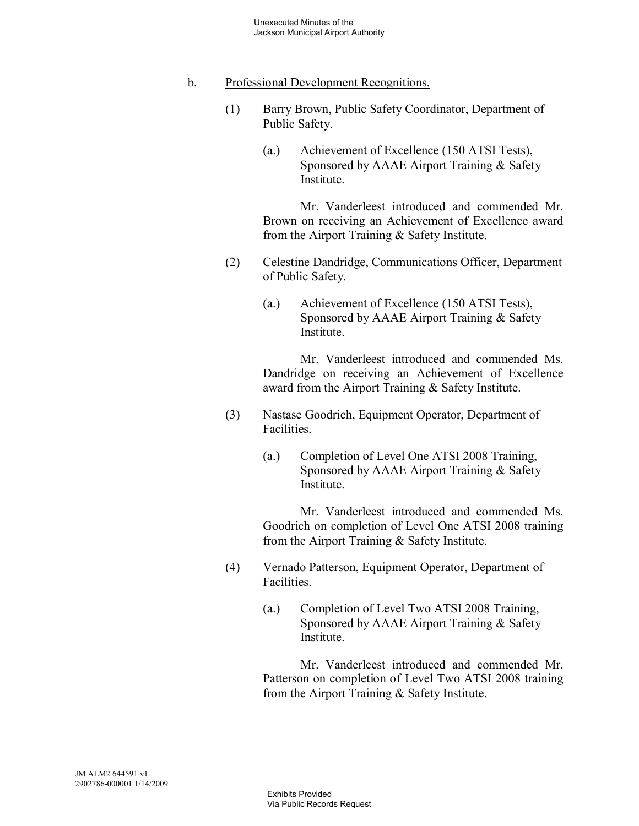#### b. Professional Development Recognitions.

- (1) Barry Brown, Public Safety Coordinator, Department of Public Safety.
	- (a.) Achievement of Excellence (150 ATSI Tests), Sponsored by AAAE Airport Training & Safety Institute.

Mr. Vanderleest introduced and commended Mr. Brown on receiving an Achievement of Excellence award from the Airport Training & Safety Institute.

- (2) Celestine Dandridge, Communications Officer, Department of Public Safety.
	- (a.) Achievement of Excellence (150 ATSI Tests), Sponsored by AAAE Airport Training & Safety Institute.

Mr. Vanderleest introduced and commended Ms. Dandridge on receiving an Achievement of Excellence award from the Airport Training & Safety Institute.

- (3) Nastase Goodrich, Equipment Operator, Department of Facilities.
	- (a.) Completion of Level One ATSI 2008 Training, Sponsored by AAAE Airport Training & Safety **Institute**

Mr. Vanderleest introduced and commended Ms. Goodrich on completion of Level One ATSI 2008 training from the Airport Training & Safety Institute.

- (4) Vernado Patterson, Equipment Operator, Department of Facilities.
	- (a.) Completion of Level Two ATSI 2008 Training, Sponsored by AAAE Airport Training & Safety Institute.

Mr. Vanderleest introduced and commended Mr. Patterson on completion of Level Two ATSI 2008 training from the Airport Training & Safety Institute.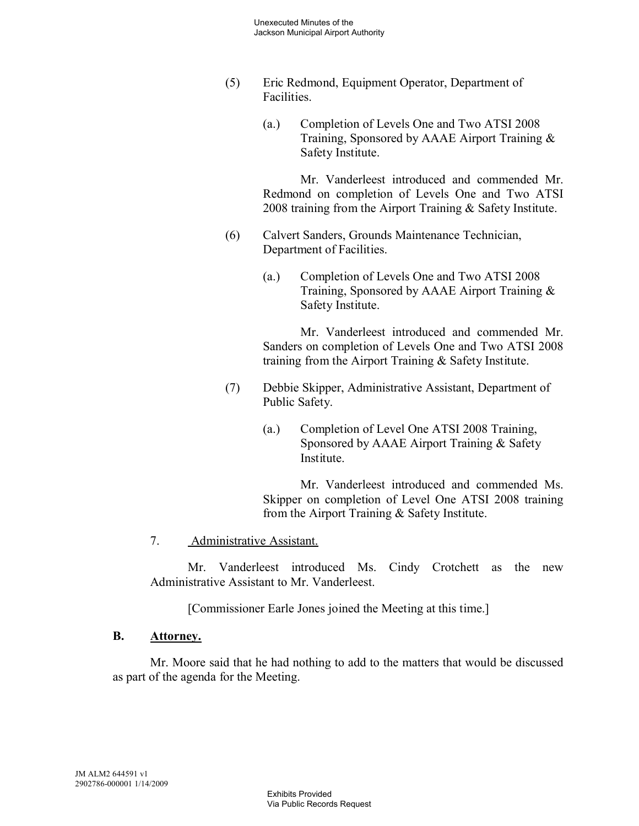- (5) Eric Redmond, Equipment Operator, Department of Facilities.
	- (a.) Completion of Levels One and Two ATSI 2008 Training, Sponsored by AAAE Airport Training & Safety Institute.

Mr. Vanderleest introduced and commended Mr. Redmond on completion of Levels One and Two ATSI 2008 training from the Airport Training & Safety Institute.

- (6) Calvert Sanders, Grounds Maintenance Technician, Department of Facilities.
	- (a.) Completion of Levels One and Two ATSI 2008 Training, Sponsored by AAAE Airport Training & Safety Institute.

Mr. Vanderleest introduced and commended Mr. Sanders on completion of Levels One and Two ATSI 2008 training from the Airport Training & Safety Institute.

- (7) Debbie Skipper, Administrative Assistant, Department of Public Safety.
	- (a.) Completion of Level One ATSI 2008 Training, Sponsored by AAAE Airport Training & Safety Institute.

Mr. Vanderleest introduced and commended Ms. Skipper on completion of Level One ATSI 2008 training from the Airport Training & Safety Institute.

## 7. Administrative Assistant.

Mr. Vanderleest introduced Ms. Cindy Crotchett as the new Administrative Assistant to Mr. Vanderleest.

[Commissioner Earle Jones joined the Meeting at this time.]

## **B. Attorney.**

Mr. Moore said that he had nothing to add to the matters that would be discussed as part of the agenda for the Meeting.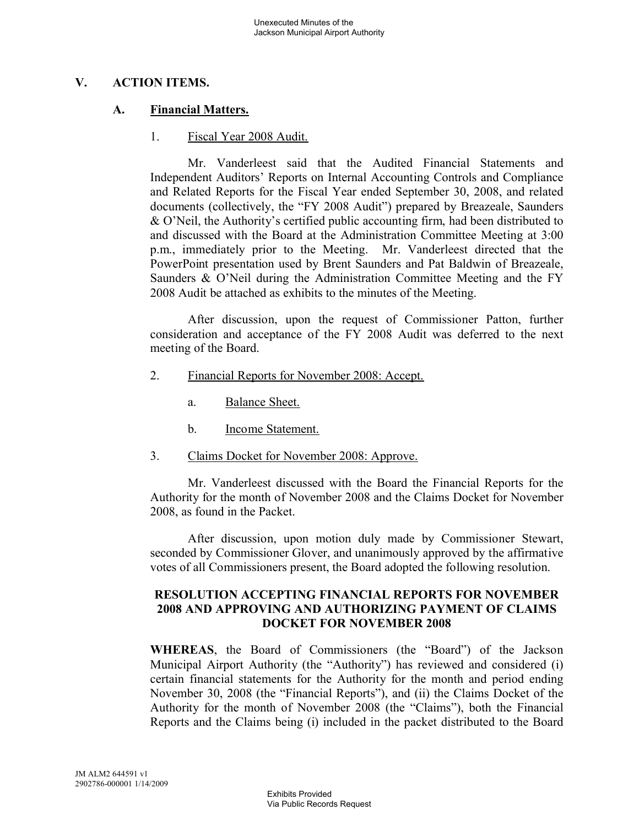## **V. ACTION ITEMS.**

#### **A. Financial Matters.**

#### 1. Fiscal Year 2008 Audit.

Mr. Vanderleest said that the Audited Financial Statements and Independent Auditors' Reports on Internal Accounting Controls and Compliance and Related Reports for the Fiscal Year ended September 30, 2008, and related documents (collectively, the "FY 2008 Audit") prepared by Breazeale, Saunders & O'Neil, the Authority's certified public accounting firm, had been distributed to and discussed with the Board at the Administration Committee Meeting at 3:00 p.m., immediately prior to the Meeting. Mr. Vanderleest directed that the PowerPoint presentation used by Brent Saunders and Pat Baldwin of Breazeale, Saunders & O'Neil during the Administration Committee Meeting and the FY 2008 Audit be attached as exhibits to the minutes of the Meeting.

After discussion, upon the request of Commissioner Patton, further consideration and acceptance of the FY 2008 Audit was deferred to the next meeting of the Board.

- 2. Financial Reports for November 2008: Accept.
	- a. Balance Sheet.
	- b. Income Statement.
- 3. Claims Docket for November 2008: Approve.

Mr. Vanderleest discussed with the Board the Financial Reports for the Authority for the month of November 2008 and the Claims Docket for November 2008, as found in the Packet.

After discussion, upon motion duly made by Commissioner Stewart, seconded by Commissioner Glover, and unanimously approved by the affirmative votes of all Commissioners present, the Board adopted the following resolution.

#### **RESOLUTION ACCEPTING FINANCIAL REPORTS FOR NOVEMBER 2008 AND APPROVING AND AUTHORIZING PAYMENT OF CLAIMS DOCKET FOR NOVEMBER 2008**

**WHEREAS**, the Board of Commissioners (the "Board") of the Jackson Municipal Airport Authority (the "Authority") has reviewed and considered (i) certain financial statements for the Authority for the month and period ending November 30, 2008 (the "Financial Reports"), and (ii) the Claims Docket of the Authority for the month of November 2008 (the "Claims"), both the Financial Reports and the Claims being (i) included in the packet distributed to the Board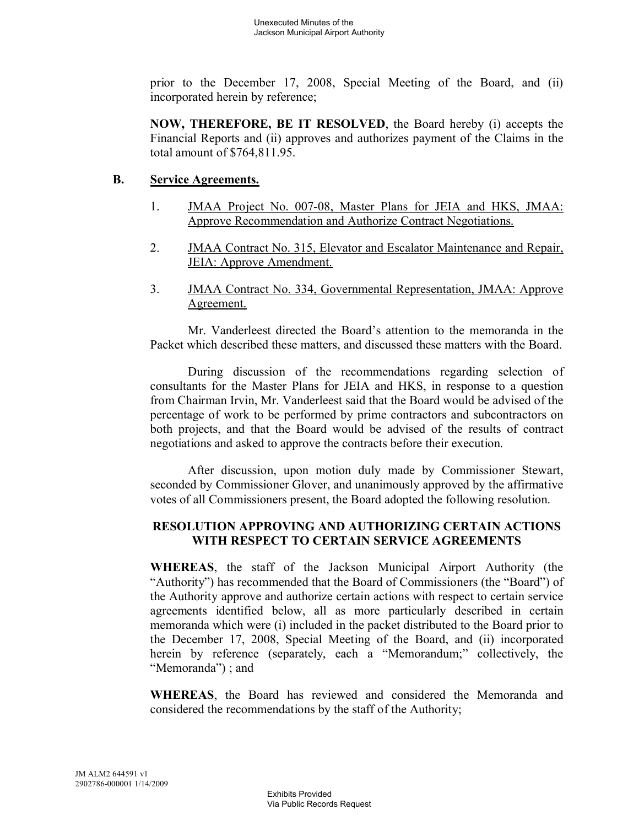prior to the December 17, 2008, Special Meeting of the Board, and (ii) incorporated herein by reference;

**NOW, THEREFORE, BE IT RESOLVED**, the Board hereby (i) accepts the Financial Reports and (ii) approves and authorizes payment of the Claims in the total amount of \$764,811.95.

#### **B. Service Agreements.**

- 1. JMAA Project No. 007-08, Master Plans for JEIA and HKS, JMAA: Approve Recommendation and Authorize Contract Negotiations.
- 2. JMAA Contract No. 315, Elevator and Escalator Maintenance and Repair, JEIA: Approve Amendment.
- 3. JMAA Contract No. 334, Governmental Representation, JMAA: Approve Agreement.

Mr. Vanderleest directed the Board's attention to the memoranda in the Packet which described these matters, and discussed these matters with the Board.

During discussion of the recommendations regarding selection of consultants for the Master Plans for JEIA and HKS, in response to a question from Chairman Irvin, Mr. Vanderleest said that the Board would be advised of the percentage of work to be performed by prime contractors and subcontractors on both projects, and that the Board would be advised of the results of contract negotiations and asked to approve the contracts before their execution.

After discussion, upon motion duly made by Commissioner Stewart, seconded by Commissioner Glover, and unanimously approved by the affirmative votes of all Commissioners present, the Board adopted the following resolution.

## **RESOLUTION APPROVING AND AUTHORIZING CERTAIN ACTIONS WITH RESPECT TO CERTAIN SERVICE AGREEMENTS**

**WHEREAS**, the staff of the Jackson Municipal Airport Authority (the "Authority") has recommended that the Board of Commissioners (the "Board") of the Authority approve and authorize certain actions with respect to certain service agreements identified below, all as more particularly described in certain memoranda which were (i) included in the packet distributed to the Board prior to the December 17, 2008, Special Meeting of the Board, and (ii) incorporated herein by reference (separately, each a "Memorandum;" collectively, the "Memoranda") ; and

**WHEREAS**, the Board has reviewed and considered the Memoranda and considered the recommendations by the staff of the Authority;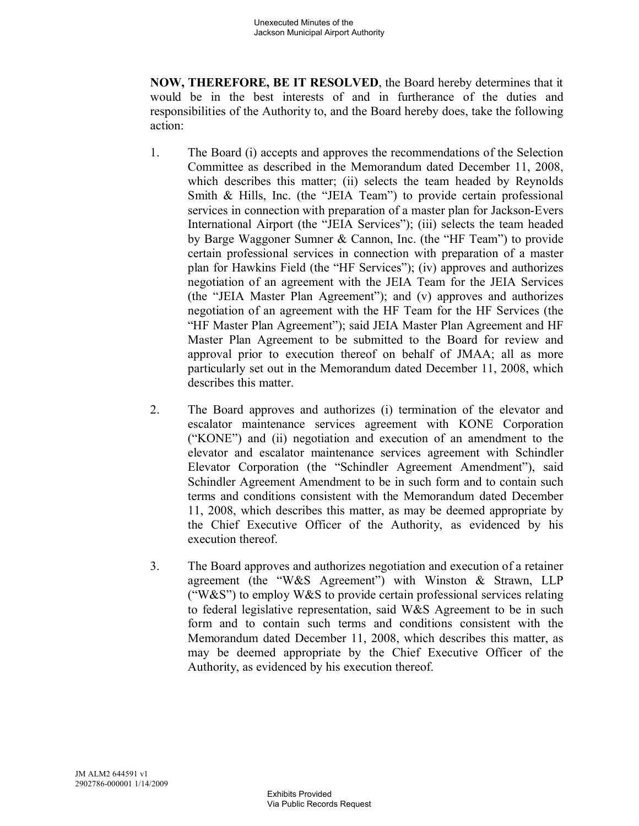**NOW, THEREFORE, BE IT RESOLVED**, the Board hereby determines that it would be in the best interests of and in furtherance of the duties and responsibilities of the Authority to, and the Board hereby does, take the following action:

- 1. The Board (i) accepts and approves the recommendations of the Selection Committee as described in the Memorandum dated December 11, 2008, which describes this matter; (ii) selects the team headed by Reynolds Smith & Hills, Inc. (the "JEIA Team") to provide certain professional services in connection with preparation of a master plan for Jackson-Evers International Airport (the "JEIA Services"); (iii) selects the team headed by Barge Waggoner Sumner & Cannon, Inc. (the "HF Team") to provide certain professional services in connection with preparation of a master plan for Hawkins Field (the "HF Services"); (iv) approves and authorizes negotiation of an agreement with the JEIA Team for the JEIA Services (the "JEIA Master Plan Agreement"); and (v) approves and authorizes negotiation of an agreement with the HF Team for the HF Services (the "HF Master Plan Agreement"); said JEIA Master Plan Agreement and HF Master Plan Agreement to be submitted to the Board for review and approval prior to execution thereof on behalf of JMAA; all as more particularly set out in the Memorandum dated December 11, 2008, which describes this matter.
- 2. The Board approves and authorizes (i) termination of the elevator and escalator maintenance services agreement with KONE Corporation ("KONE") and (ii) negotiation and execution of an amendment to the elevator and escalator maintenance services agreement with Schindler Elevator Corporation (the "Schindler Agreement Amendment"), said Schindler Agreement Amendment to be in such form and to contain such terms and conditions consistent with the Memorandum dated December 11, 2008, which describes this matter, as may be deemed appropriate by the Chief Executive Officer of the Authority, as evidenced by his execution thereof.
- 3. The Board approves and authorizes negotiation and execution of a retainer agreement (the "W&S Agreement") with Winston & Strawn, LLP ("W&S") to employ W&S to provide certain professional services relating to federal legislative representation, said W&S Agreement to be in such form and to contain such terms and conditions consistent with the Memorandum dated December 11, 2008, which describes this matter, as may be deemed appropriate by the Chief Executive Officer of the Authority, as evidenced by his execution thereof.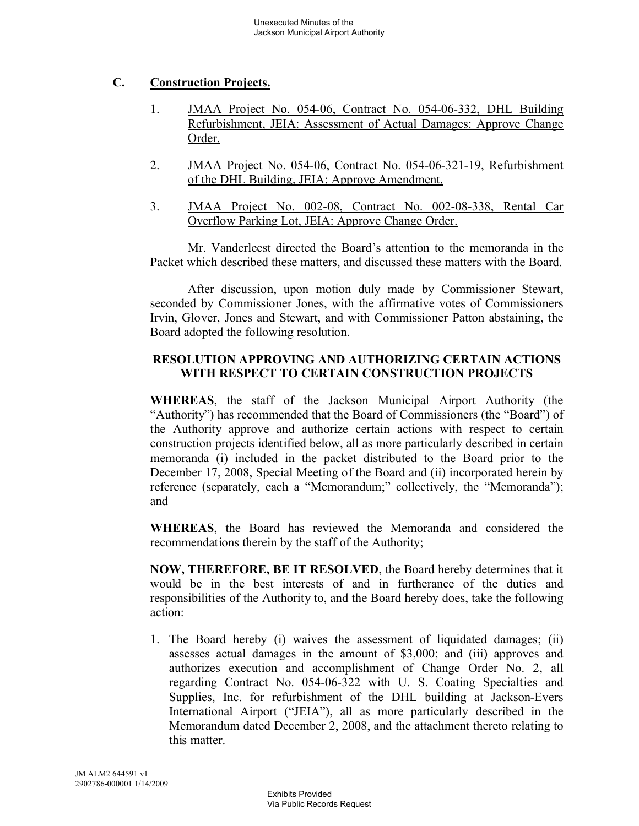# **C. Construction Projects.**

- 1. JMAA Project No. 054-06, Contract No. 054-06-332, DHL Building Refurbishment, JEIA: Assessment of Actual Damages: Approve Change Order.
- 2. JMAA Project No. 054-06, Contract No. 054-06-321-19, Refurbishment of the DHL Building, JEIA: Approve Amendment.
- 3. JMAA Project No. 002-08, Contract No. 002-08-338, Rental Car Overflow Parking Lot, JEIA: Approve Change Order.

Mr. Vanderleest directed the Board's attention to the memoranda in the Packet which described these matters, and discussed these matters with the Board.

After discussion, upon motion duly made by Commissioner Stewart, seconded by Commissioner Jones, with the affirmative votes of Commissioners Irvin, Glover, Jones and Stewart, and with Commissioner Patton abstaining, the Board adopted the following resolution.

## **RESOLUTION APPROVING AND AUTHORIZING CERTAIN ACTIONS WITH RESPECT TO CERTAIN CONSTRUCTION PROJECTS**

**WHEREAS**, the staff of the Jackson Municipal Airport Authority (the "Authority") has recommended that the Board of Commissioners (the "Board") of the Authority approve and authorize certain actions with respect to certain construction projects identified below, all as more particularly described in certain memoranda (i) included in the packet distributed to the Board prior to the December 17, 2008, Special Meeting of the Board and (ii) incorporated herein by reference (separately, each a "Memorandum;" collectively, the "Memoranda"); and

**WHEREAS**, the Board has reviewed the Memoranda and considered the recommendations therein by the staff of the Authority;

**NOW, THEREFORE, BE IT RESOLVED**, the Board hereby determines that it would be in the best interests of and in furtherance of the duties and responsibilities of the Authority to, and the Board hereby does, take the following action:

1. The Board hereby (i) waives the assessment of liquidated damages; (ii) assesses actual damages in the amount of \$3,000; and (iii) approves and authorizes execution and accomplishment of Change Order No. 2, all regarding Contract No. 054-06-322 with U. S. Coating Specialties and Supplies, Inc. for refurbishment of the DHL building at Jackson-Evers International Airport ("JEIA"), all as more particularly described in the Memorandum dated December 2, 2008, and the attachment thereto relating to this matter.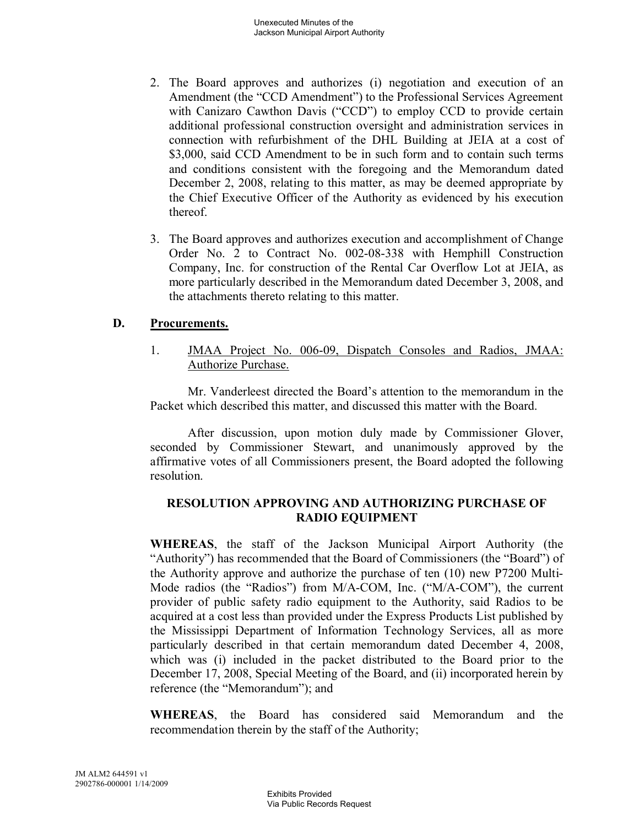- 2. The Board approves and authorizes (i) negotiation and execution of an Amendment (the "CCD Amendment") to the Professional Services Agreement with Canizaro Cawthon Davis ("CCD") to employ CCD to provide certain additional professional construction oversight and administration services in connection with refurbishment of the DHL Building at JEIA at a cost of \$3,000, said CCD Amendment to be in such form and to contain such terms and conditions consistent with the foregoing and the Memorandum dated December 2, 2008, relating to this matter, as may be deemed appropriate by the Chief Executive Officer of the Authority as evidenced by his execution thereof.
- 3. The Board approves and authorizes execution and accomplishment of Change Order No. 2 to Contract No. 002-08-338 with Hemphill Construction Company, Inc. for construction of the Rental Car Overflow Lot at JEIA, as more particularly described in the Memorandum dated December 3, 2008, and the attachments thereto relating to this matter.

#### **D. Procurements.**

1. JMAA Project No. 006-09, Dispatch Consoles and Radios, JMAA: Authorize Purchase.

Mr. Vanderleest directed the Board's attention to the memorandum in the Packet which described this matter, and discussed this matter with the Board.

After discussion, upon motion duly made by Commissioner Glover, seconded by Commissioner Stewart, and unanimously approved by the affirmative votes of all Commissioners present, the Board adopted the following resolution.

#### **RESOLUTION APPROVING AND AUTHORIZING PURCHASE OF RADIO EQUIPMENT**

**WHEREAS**, the staff of the Jackson Municipal Airport Authority (the "Authority") has recommended that the Board of Commissioners (the "Board") of the Authority approve and authorize the purchase of ten (10) new P7200 Multi-Mode radios (the "Radios") from M/A-COM, Inc. ("M/A-COM"), the current provider of public safety radio equipment to the Authority, said Radios to be acquired at a cost less than provided under the Express Products List published by the Mississippi Department of Information Technology Services, all as more particularly described in that certain memorandum dated December 4, 2008, which was (i) included in the packet distributed to the Board prior to the December 17, 2008, Special Meeting of the Board, and (ii) incorporated herein by reference (the "Memorandum"); and

**WHEREAS**, the Board has considered said Memorandum and the recommendation therein by the staff of the Authority;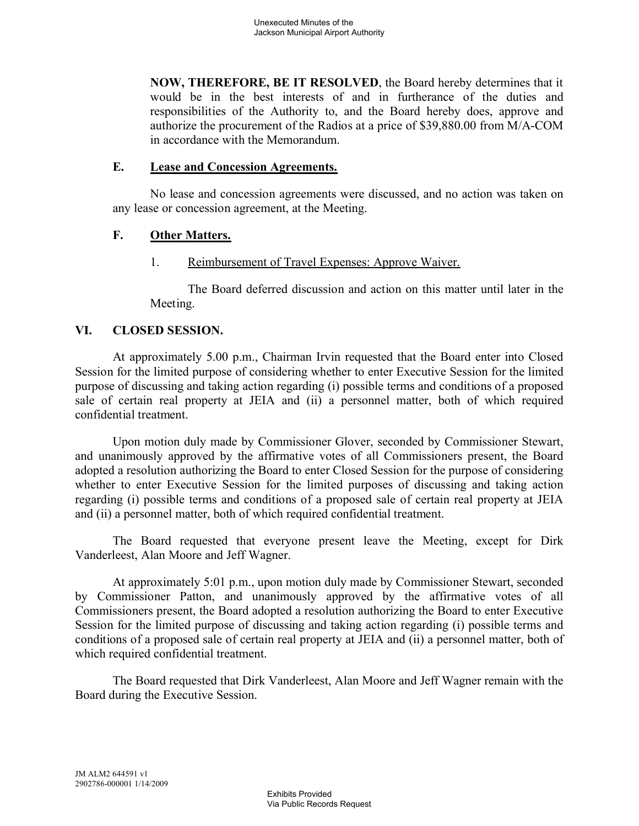**NOW, THEREFORE, BE IT RESOLVED**, the Board hereby determines that it would be in the best interests of and in furtherance of the duties and responsibilities of the Authority to, and the Board hereby does, approve and authorize the procurement of the Radios at a price of \$39,880.00 from M/A-COM in accordance with the Memorandum.

#### **E. Lease and Concession Agreements.**

No lease and concession agreements were discussed, and no action was taken on any lease or concession agreement, at the Meeting.

## **F. Other Matters.**

# 1. Reimbursement of Travel Expenses: Approve Waiver.

The Board deferred discussion and action on this matter until later in the Meeting.

## **VI. CLOSED SESSION.**

At approximately 5.00 p.m., Chairman Irvin requested that the Board enter into Closed Session for the limited purpose of considering whether to enter Executive Session for the limited purpose of discussing and taking action regarding (i) possible terms and conditions of a proposed sale of certain real property at JEIA and (ii) a personnel matter, both of which required confidential treatment.

Upon motion duly made by Commissioner Glover, seconded by Commissioner Stewart, and unanimously approved by the affirmative votes of all Commissioners present, the Board adopted a resolution authorizing the Board to enter Closed Session for the purpose of considering whether to enter Executive Session for the limited purposes of discussing and taking action regarding (i) possible terms and conditions of a proposed sale of certain real property at JEIA and (ii) a personnel matter, both of which required confidential treatment.

The Board requested that everyone present leave the Meeting, except for Dirk Vanderleest, Alan Moore and Jeff Wagner.

At approximately 5:01 p.m., upon motion duly made by Commissioner Stewart, seconded by Commissioner Patton, and unanimously approved by the affirmative votes of all Commissioners present, the Board adopted a resolution authorizing the Board to enter Executive Session for the limited purpose of discussing and taking action regarding (i) possible terms and conditions of a proposed sale of certain real property at JEIA and (ii) a personnel matter, both of which required confidential treatment.

The Board requested that Dirk Vanderleest, Alan Moore and Jeff Wagner remain with the Board during the Executive Session.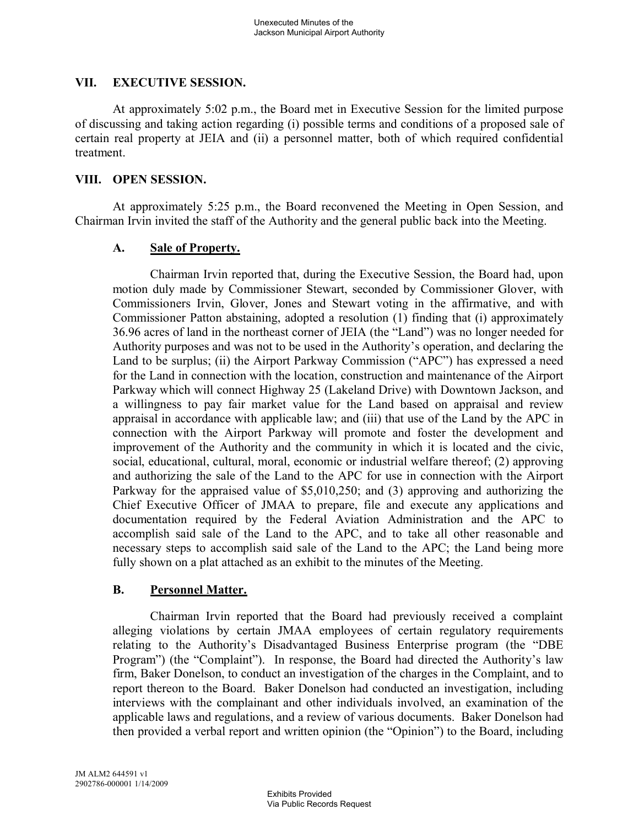#### **VII. EXECUTIVE SESSION.**

At approximately 5:02 p.m., the Board met in Executive Session for the limited purpose of discussing and taking action regarding (i) possible terms and conditions of a proposed sale of certain real property at JEIA and (ii) a personnel matter, both of which required confidential treatment.

#### **VIII. OPEN SESSION.**

At approximately 5:25 p.m., the Board reconvened the Meeting in Open Session, and Chairman Irvin invited the staff of the Authority and the general public back into the Meeting.

## **A. Sale of Property.**

Chairman Irvin reported that, during the Executive Session, the Board had, upon motion duly made by Commissioner Stewart, seconded by Commissioner Glover, with Commissioners Irvin, Glover, Jones and Stewart voting in the affirmative, and with Commissioner Patton abstaining, adopted a resolution (1) finding that (i) approximately 36.96 acres of land in the northeast corner of JEIA (the "Land") was no longer needed for Authority purposes and was not to be used in the Authority's operation, and declaring the Land to be surplus; (ii) the Airport Parkway Commission ("APC") has expressed a need for the Land in connection with the location, construction and maintenance of the Airport Parkway which will connect Highway 25 (Lakeland Drive) with Downtown Jackson, and a willingness to pay fair market value for the Land based on appraisal and review appraisal in accordance with applicable law; and (iii) that use of the Land by the APC in connection with the Airport Parkway will promote and foster the development and improvement of the Authority and the community in which it is located and the civic, social, educational, cultural, moral, economic or industrial welfare thereof; (2) approving and authorizing the sale of the Land to the APC for use in connection with the Airport Parkway for the appraised value of \$5,010,250; and (3) approving and authorizing the Chief Executive Officer of JMAA to prepare, file and execute any applications and documentation required by the Federal Aviation Administration and the APC to accomplish said sale of the Land to the APC, and to take all other reasonable and necessary steps to accomplish said sale of the Land to the APC; the Land being more fully shown on a plat attached as an exhibit to the minutes of the Meeting.

## **B. Personnel Matter.**

Chairman Irvin reported that the Board had previously received a complaint alleging violations by certain JMAA employees of certain regulatory requirements relating to the Authority's Disadvantaged Business Enterprise program (the "DBE Program") (the "Complaint"). In response, the Board had directed the Authority's law firm, Baker Donelson, to conduct an investigation of the charges in the Complaint, and to report thereon to the Board. Baker Donelson had conducted an investigation, including interviews with the complainant and other individuals involved, an examination of the applicable laws and regulations, and a review of various documents. Baker Donelson had then provided a verbal report and written opinion (the "Opinion") to the Board, including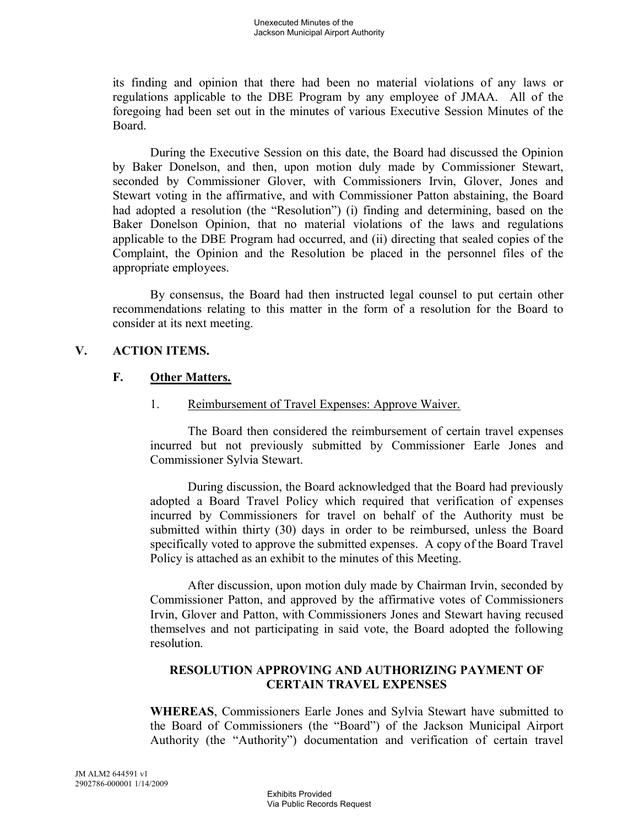its finding and opinion that there had been no material violations of any laws or regulations applicable to the DBE Program by any employee of JMAA. All of the foregoing had been set out in the minutes of various Executive Session Minutes of the Board.

During the Executive Session on this date, the Board had discussed the Opinion by Baker Donelson, and then, upon motion duly made by Commissioner Stewart, seconded by Commissioner Glover, with Commissioners Irvin, Glover, Jones and Stewart voting in the affirmative, and with Commissioner Patton abstaining, the Board had adopted a resolution (the "Resolution") (i) finding and determining, based on the Baker Donelson Opinion, that no material violations of the laws and regulations applicable to the DBE Program had occurred, and (ii) directing that sealed copies of the Complaint, the Opinion and the Resolution be placed in the personnel files of the appropriate employees.

By consensus, the Board had then instructed legal counsel to put certain other recommendations relating to this matter in the form of a resolution for the Board to consider at its next meeting.

## **V. ACTION ITEMS.**

## **F. Other Matters.**

1. Reimbursement of Travel Expenses: Approve Waiver.

The Board then considered the reimbursement of certain travel expenses incurred but not previously submitted by Commissioner Earle Jones and Commissioner Sylvia Stewart.

During discussion, the Board acknowledged that the Board had previously adopted a Board Travel Policy which required that verification of expenses incurred by Commissioners for travel on behalf of the Authority must be submitted within thirty (30) days in order to be reimbursed, unless the Board specifically voted to approve the submitted expenses. A copy of the Board Travel Policy is attached as an exhibit to the minutes of this Meeting.

After discussion, upon motion duly made by Chairman Irvin, seconded by Commissioner Patton, and approved by the affirmative votes of Commissioners Irvin, Glover and Patton, with Commissioners Jones and Stewart having recused themselves and not participating in said vote, the Board adopted the following resolution.

# **RESOLUTION APPROVING AND AUTHORIZING PAYMENT OF CERTAIN TRAVEL EXPENSES**

**WHEREAS**, Commissioners Earle Jones and Sylvia Stewart have submitted to the Board of Commissioners (the "Board") of the Jackson Municipal Airport Authority (the "Authority") documentation and verification of certain travel